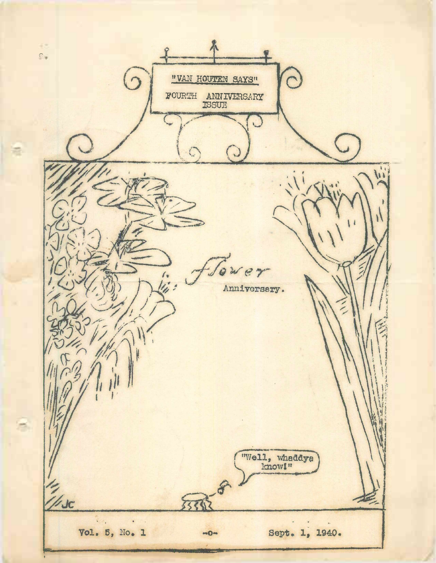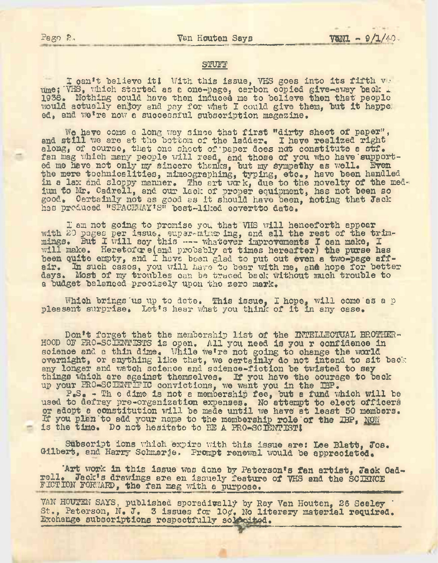## STUFF

I can't believe it! With this issue, VHS goes into its fifth v. ume; "VHS, which started as a one-page, carbon copied give-away back i. 1936. Nothing could have then induced me to believe then that people would actually enjoy and pay for what I could give them, but it happe, ed, and we're now e successful subscription magazine.

We have come a long way since that first "dirty sheet of paper", we have come a long way since that like "dirty sheet of paper"<br>and still we are at the bottom of the ladder. I have realized right along, of course, that one sheet of paper does not constitute a stf. fan mag which many people will read, and those of you who have supported me have not only my sincere thanks, but my sympathy as well. Even the mere technicalities, mimeographing, typing, etc., have been handled in <sup>a</sup> lax and sloppy manner. The art week, due to the novelty of the medium to Mr. Cadrell, and our lack of proper equipment, has not been so good. Certainly not as good as it should have been, hoting that Jack has produced "SPACEWAY'S" best-liked covertto date.

I am not going to promise you that VHS will henceforth appear with 20 pages per issue, super-mims ing, and all the rest of the trimwith ab pages per issue, super-mings ing, and sil the rest of the triangle. will make. Heretofore(and probably at times hereafter) the purse has been quite empty, and I have been glad to put out even a two-page affeir. In such cases, you will have to bear with me, and hope for better eir. In such cases, you will have to bear with me, and hope for bette a budget balanced precisely upon the zero mark.

Which brings us up to date. This issue, I hope, will come as a p pleasant surprise. Let's hear what you think of it in any case.

Don't forget that the membership list of the INTELLECTUAL BROTHER-HOOD OF PRO-SCIENTISTS is open. All you need is you r confidence in science and a thin dime. While we're not going to change the world overnight, or anything like that, we certainly do not intend to sit back any longer and watch science and science-fiction be twisted to say things which are against themselves. If you have the courage to back up your PRO-SCIENTIFIC convictions, we want you in the IBP.

P.S. - Th <sup>e</sup> dime is not <sup>a</sup> membership fee, but <sup>a</sup> fund which will be used to defray pre-organization expenses. No attempt to elect officers or adopt <sup>a</sup> constitution will be made until we have at least <sup>50</sup> members. If you plan'to add your name to the membership role "of the IBP, NOW is the time. Do not hesitate to BE <sup>A</sup> PRO-SCIENTISTI

Subscript ions which expire with this issue are: Lee Blatt, Jos. Gilbert, and Harry Schmarje. Prompt renewal would be appreciated.

**'Art work** in this issue was done by Paterson's **fen artist, Jack Oad**rell. Jack's drawings are an issuely feature of VHS and the SCIENCE FICTION FORWARD, the fan mag with a purpose.

VAN HOUTEN SAYS, published sporadically by Ray Van Houten, 26 Seeley ' St., Paterson, N. J. 3 issues for  $10\%$ . No literary material required. Exchange subscriptions respectfully soldcited.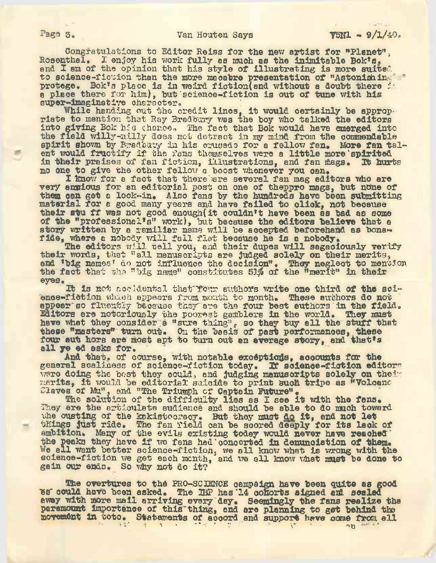Congratulations to Editor Reiss for the new artist for "Planet", Rosenthal. 1 enjoy his work fully as much as the inimitable Bok's. and I am of the opinion that his style of illustrating is more suited to science-ficuion than the more macabre presentation of "Astonishing-" protege. Bok's place is in weird fiction(and without a doubt there ia place there for him), but science-fiction is out of tune with his super-imaginative character.<br>While handing out the credit lines, it would certainly be approp-

riate to mention that Ray Bradbury was the boy who talked the editors into giving Bok his chance. The fact that Bok would have emerged into the field willy-nilly does net detract in my mind from the commendable spirit shown by Bradbuty in his crusade for a fellow fan. More fan talent would fructify if the fans themselves were a little more spirited<br>ent would fructify if the fans themselves were a little more spirited in their praises of fan fiction, illustrations, and fan mags. It hurts no one to give the other fellow <sup>a</sup> boost whenever you can.

I know for a fact that therebare several fan mag editors who are very ansious for an editorial post on one of theppro mags, but none of them can get a look-in. Also fans by the hundreds have been submitting material for <sup>a</sup> good many years and have failed to click, not because their stu ff was not good enough(it couldn't have been as bad as some of the "professional's" work), but because the editors believe that a story written by a familiar name will be accepted beforehand as bonafide, where a nobody will fall flat because he is a nobody.

Where a hobody will fall that because he is a hobody.<br>The editors will tell you, and their dupes will sagaciously verify their words, that "all manuscripts are judged solely on their merits, and 'big names' do not influence the decision". They neglect to mention the fact that she "big name" constitutes 51% of the "merit" in their eyes.

**Tb** is not accidental that'Tour authors write one third of **the** science-fiction which appears from month to month. These authors do not appear so fluently because they are the four best authors in the field. Editors are notoriously the poorest gamblers in the world. They must have what they consider;a "sure thing", so they buy all the stuff that these "masters" turn out. On the basis of past performances, these **four out** hors are most apt to turn out an average story, and that's all ye ed asks for.

And that. of course, with notable exceptions, accounts for the general scaliness of science-fiction today. If science-fiction editors were doing the best they could, and judging manuscripts solely on their were doing the bost they could, and judging manuscripts solely on the<br>merits, it would be editorial suicide to print such tripe as "Volcano Slaves of Mu", and "The Triumph of Captain Future".

s or mu", and "The Triumph of Captain Future".<br>The solution of the difficulty lies as I see it with the fans. They are the articulate audience and should be able to do much toward they are the articulate audience and should be able to do much tow<br>whe ousting of the kakistocraoy. But they must do it, and not let the odstring of the Kakistocracy. But they must do it, and dot let ambition. Many of the evils existing today would never have reached the peaks they have if we fans had concerted in denunciation of them. We all want better science-fiction, we all know what is wrong with the science-fiction we get each month, and we all know what must be done to gain our ends. So why not do it?

The overtures to the PRO-SCIENCE campaign have been quite as good bs' could have been asked. The IBP has'14 cohorts signed aid sealed eway with more mail arriving every day. Seemingly the fans realize the paramount importance of this thing, and ere planning to get behind the movement in toto. Statements of accord and support have come from all  $\frac{1}{\sqrt{2}}$  and  $\frac{1}{\sqrt{2}}$  and  $\frac{1}{\sqrt{2}}$  and  $\frac{1}{\sqrt{2}}$  and  $\frac{1}{\sqrt{2}}$  and  $\frac{1}{\sqrt{2}}$  on  $\frac{1}{\sqrt{2}}$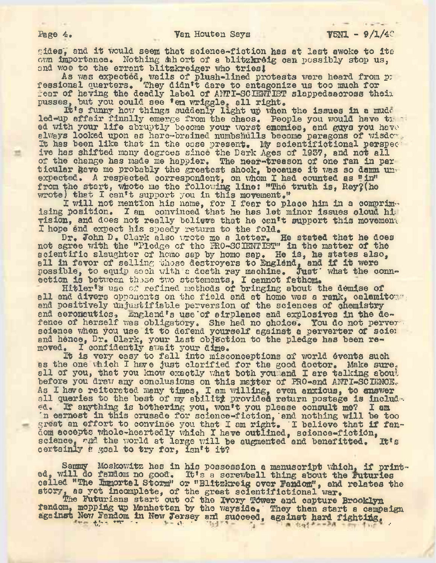sides', and. it would seem that science-fiction has at last awoke to its own importance. Nothing short of a blitzkreig can possibly stop us, and woe to the errant blitzkreiger who tries!

As was expected, wails of plush-lined protests were heard from po As was expected, walls of plush-lined protests were heard from rear of having the deadly label of ANTI-SCIENTIST slappedaaoross their pusses, but you could see 'em wriggle, all right.

s, but you could see 'em wriggle. all right.<br>It's funny how things suddenly light up when the issues in a mudd led-up affair finally emerge from the chaos. People you would have trees ed with your life abruptly become your worst enemies, and guys you have always looked upon as hare-brained numbshulls become paragons of wisdom. It has been like that in the case present. My scientifictional perspect ive has shifted many degrees since the Dark Ages of 1957, and not all of the change has made me happier. The near-treeson of one fan in par or the change has made me happier. The near-treason or one ran in particular gave me probably the greatest shock, because it was so damn unexpected. A respected correspondent, on whom I had counted as "in" from the start, whote me the following line: ''The truth is, Ray? (he rrom the start, whose me the rollowing line: "The wrote) that I can't support you in this movement."

I will not mention his name, for I fear to place him in a comprimeteral value of  $\frac{1}{2}$ ising position. I am convinced that he has let minor issues oloud hivision, and does not really believe that he can't support this movement I hope and expect his speedy return to the fold.

Dr. John D. Clark also wrote me a letter. He stated that he does not agree with the "Pledge of the PRO-SCIENTIST" in the matter of the scientific slaughter of homo sap by homo sap. He is, he states also, scientific slaughter of homo sap by homo sap. He is, he states als<br>all in favor of selling those destroyers to England, and if it were possible, to equip each with a doath ray machine. Just what the connpossible, to equip each vital a death ray machine. Just

Hitler's use of refined methods of bringing about the demise of all and divers opponents on the field and at home was a rank, calemitout and positively Unjustifiable perversion of the sciences of chemistry and aeronautics, England's use of airplanes and explosives in the defence of herself was obligatory. She had no choice. You do not perverscience when you use it to defend yourself against a perverter of science when you use it to defend yourself against a perverter of science and hence, Dr, Clark, your last objection to the pledge has been removed. I confidently await your dime.

It is very easy to fall into misconceptions of world events such as the one which I have just clarified for the good doctor. Make sure, all of you, that you know exactly what both you and I are talking about before you draw any conclusions on this matter of PRO-and ANTI-SCIENCE. As I have reiterated many times, I am willing, even anxious, to answer all queries to the best of my ability provided return postage is included. If anything is bothering you, won't you please consult me? I am 'n earnest in this crusade for science-fiction, "and nothing will be too great an effort to convince you that I am right. I believe that if fandom accepts whole-heartedly which I have outlined, science-fiotiOn, science, and the world at large will be augmented and benefitted. It's certainly a goal to try for, isn't it?

Sammy Moskowitz has in his possession <sup>a</sup> manuscript which, if printed, will do fandom no good. It's a screwball thing about the ruturies called "The Immortal Storm" or "Blitzkreig over Fandom", and relates the story, as yet incomplete, of the great scientifictional war.

The Futurians start out of the Ivory Tower and capture Brooklyn fandom, moppidg up Manhattan by the wayside. ' They then start <sup>a</sup> campaign against New Fandom in New Jersey ard succeed, against hard fighting,